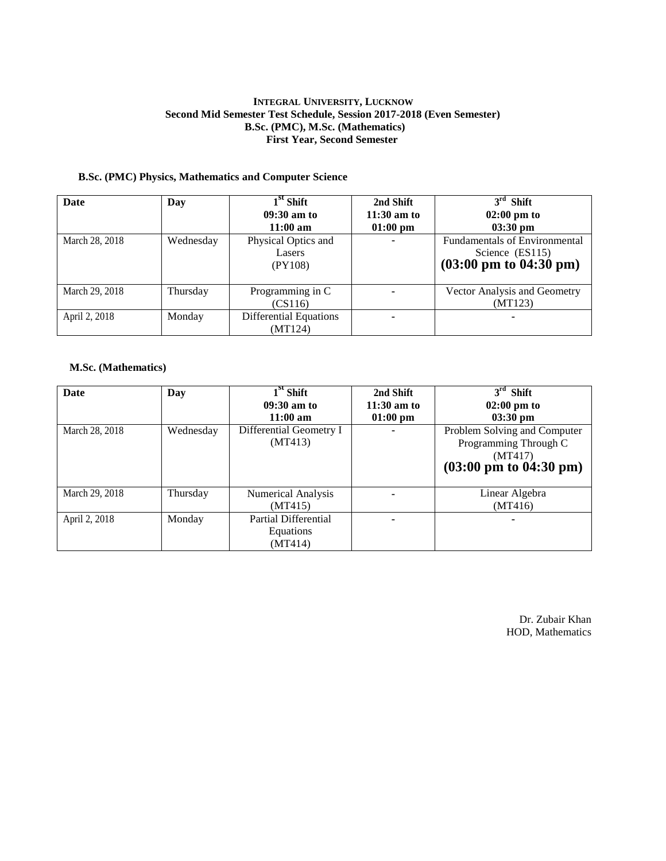### **INTEGRAL UNIVERSITY, LUCKNOW Second Mid Semester Test Schedule, Session 2017-2018 (Even Semester) B.Sc. (PMC), M.Sc. (Mathematics) First Year, Second Semester**

# **B.Sc. (PMC) Physics, Mathematics and Computer Science**

| Date           | Day       | $1st$ Shift<br>$09:30$ am to<br>$11:00 \text{ am}$ | 2nd Shift<br>$11:30$ am to<br>$01:00$ pm | $3rd$ Shift<br>$02:00 \text{ pm}$ to<br>$03:30 \text{ pm}$                                           |
|----------------|-----------|----------------------------------------------------|------------------------------------------|------------------------------------------------------------------------------------------------------|
| March 28, 2018 | Wednesday | Physical Optics and<br>Lasers<br>(PY108)           |                                          | <b>Fundamentals of Environmental</b><br>Science (ES115)<br>$(03:00 \text{ pm to } 04:30 \text{ pm})$ |
| March 29, 2018 | Thursday  | Programming in C<br>(CS116)                        |                                          | Vector Analysis and Geometry<br>(MT123)                                                              |
| April 2, 2018  | Monday    | <b>Differential Equations</b><br>(MT124)           |                                          |                                                                                                      |

#### **M.Sc. (Mathematics)**

| Date           | Day       | $1st$ Shift                 | 2nd Shift     | $3rd$ Shift                               |
|----------------|-----------|-----------------------------|---------------|-------------------------------------------|
|                |           | $09:30$ am to               | $11:30$ am to | $02:00 \text{ pm}$ to                     |
|                |           | $11:00 \text{ am}$          | $01:00$ pm    | $03:30$ pm                                |
| March 28, 2018 | Wednesday | Differential Geometry I     |               | Problem Solving and Computer              |
|                |           | (MT413)                     |               | Programming Through C                     |
|                |           |                             |               | (MT417)                                   |
|                |           |                             |               | $(03:00 \text{ pm to } 04:30 \text{ pm})$ |
|                |           |                             |               |                                           |
| March 29, 2018 | Thursday  | <b>Numerical Analysis</b>   |               | Linear Algebra                            |
|                |           | (MT415)                     |               | (MT416)                                   |
| April 2, 2018  | Monday    | <b>Partial Differential</b> |               |                                           |
|                |           | Equations                   |               |                                           |
|                |           | (MT414)                     |               |                                           |

Dr. Zubair Khan HOD, Mathematics